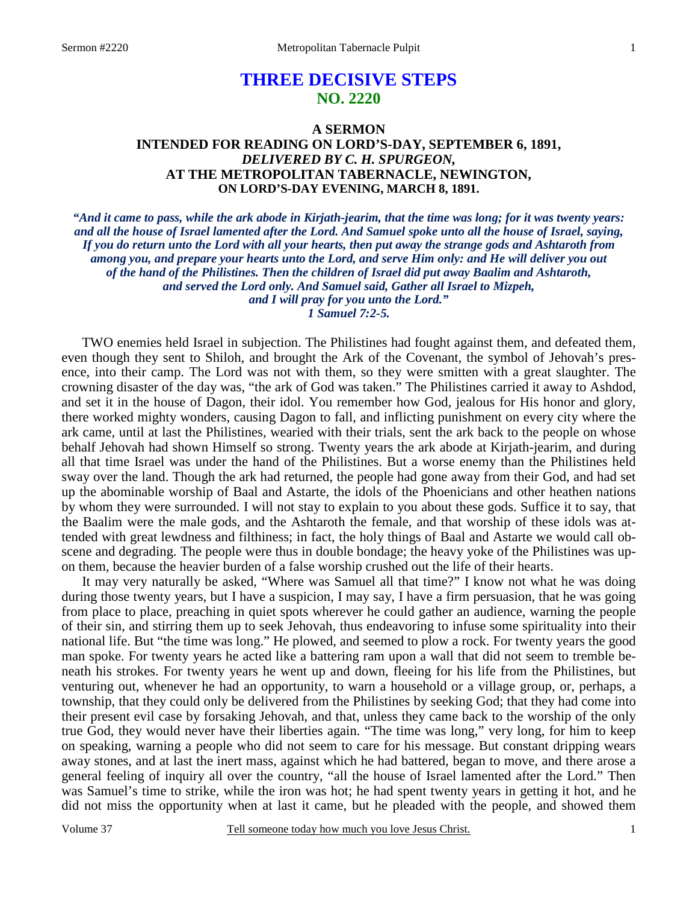# **THREE DECISIVE STEPS NO. 2220**

## **A SERMON INTENDED FOR READING ON LORD'S-DAY, SEPTEMBER 6, 1891,**  *DELIVERED BY C. H. SPURGEON,*  **AT THE METROPOLITAN TABERNACLE, NEWINGTON, ON LORD'S-DAY EVENING, MARCH 8, 1891.**

*"And it came to pass, while the ark abode in Kirjath-jearim, that the time was long; for it was twenty years: and all the house of Israel lamented after the Lord. And Samuel spoke unto all the house of Israel, saying, If you do return unto the Lord with all your hearts, then put away the strange gods and Ashtaroth from among you, and prepare your hearts unto the Lord, and serve Him only: and He will deliver you out of the hand of the Philistines. Then the children of Israel did put away Baalim and Ashtaroth, and served the Lord only. And Samuel said, Gather all Israel to Mizpeh, and I will pray for you unto the Lord." 1 Samuel 7:2-5.* 

TWO enemies held Israel in subjection. The Philistines had fought against them, and defeated them, even though they sent to Shiloh, and brought the Ark of the Covenant, the symbol of Jehovah's presence, into their camp. The Lord was not with them, so they were smitten with a great slaughter. The crowning disaster of the day was, "the ark of God was taken." The Philistines carried it away to Ashdod, and set it in the house of Dagon, their idol. You remember how God, jealous for His honor and glory, there worked mighty wonders, causing Dagon to fall, and inflicting punishment on every city where the ark came, until at last the Philistines, wearied with their trials, sent the ark back to the people on whose behalf Jehovah had shown Himself so strong. Twenty years the ark abode at Kirjath-jearim, and during all that time Israel was under the hand of the Philistines. But a worse enemy than the Philistines held sway over the land. Though the ark had returned, the people had gone away from their God, and had set up the abominable worship of Baal and Astarte, the idols of the Phoenicians and other heathen nations by whom they were surrounded. I will not stay to explain to you about these gods. Suffice it to say, that the Baalim were the male gods, and the Ashtaroth the female, and that worship of these idols was attended with great lewdness and filthiness; in fact, the holy things of Baal and Astarte we would call obscene and degrading. The people were thus in double bondage; the heavy yoke of the Philistines was upon them, because the heavier burden of a false worship crushed out the life of their hearts.

 It may very naturally be asked, "Where was Samuel all that time?" I know not what he was doing during those twenty years, but I have a suspicion, I may say, I have a firm persuasion, that he was going from place to place, preaching in quiet spots wherever he could gather an audience, warning the people of their sin, and stirring them up to seek Jehovah, thus endeavoring to infuse some spirituality into their national life. But "the time was long." He plowed, and seemed to plow a rock. For twenty years the good man spoke. For twenty years he acted like a battering ram upon a wall that did not seem to tremble beneath his strokes. For twenty years he went up and down, fleeing for his life from the Philistines, but venturing out, whenever he had an opportunity, to warn a household or a village group, or, perhaps, a township, that they could only be delivered from the Philistines by seeking God; that they had come into their present evil case by forsaking Jehovah, and that, unless they came back to the worship of the only true God, they would never have their liberties again. "The time was long," very long, for him to keep on speaking, warning a people who did not seem to care for his message. But constant dripping wears away stones, and at last the inert mass, against which he had battered, began to move, and there arose a general feeling of inquiry all over the country, "all the house of Israel lamented after the Lord." Then was Samuel's time to strike, while the iron was hot; he had spent twenty years in getting it hot, and he did not miss the opportunity when at last it came, but he pleaded with the people, and showed them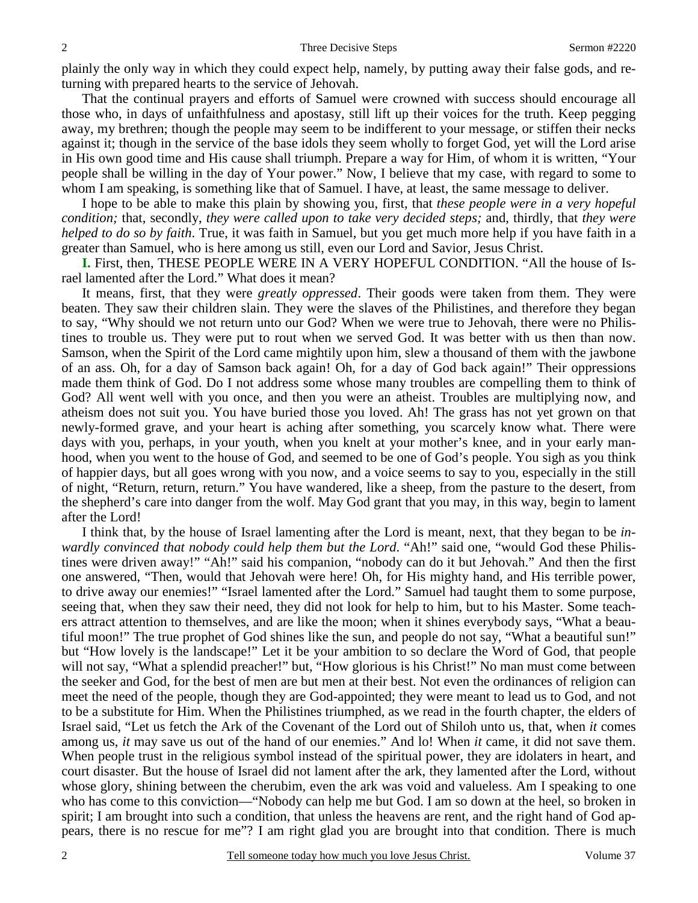plainly the only way in which they could expect help, namely, by putting away their false gods, and returning with prepared hearts to the service of Jehovah.

 That the continual prayers and efforts of Samuel were crowned with success should encourage all those who, in days of unfaithfulness and apostasy, still lift up their voices for the truth. Keep pegging away, my brethren; though the people may seem to be indifferent to your message, or stiffen their necks against it; though in the service of the base idols they seem wholly to forget God, yet will the Lord arise in His own good time and His cause shall triumph. Prepare a way for Him, of whom it is written, "Your people shall be willing in the day of Your power." Now, I believe that my case, with regard to some to whom I am speaking, is something like that of Samuel. I have, at least, the same message to deliver.

 I hope to be able to make this plain by showing you, first, that *these people were in a very hopeful condition;* that, secondly, *they were called upon to take very decided steps;* and, thirdly, that *they were helped to do so by faith*. True, it was faith in Samuel, but you get much more help if you have faith in a greater than Samuel, who is here among us still, even our Lord and Savior, Jesus Christ.

**I.** First, then, THESE PEOPLE WERE IN A VERY HOPEFUL CONDITION. "All the house of Israel lamented after the Lord." What does it mean?

 It means, first, that they were *greatly oppressed*. Their goods were taken from them. They were beaten. They saw their children slain. They were the slaves of the Philistines, and therefore they began to say, "Why should we not return unto our God? When we were true to Jehovah, there were no Philistines to trouble us. They were put to rout when we served God. It was better with us then than now. Samson, when the Spirit of the Lord came mightily upon him, slew a thousand of them with the jawbone of an ass. Oh, for a day of Samson back again! Oh, for a day of God back again!" Their oppressions made them think of God. Do I not address some whose many troubles are compelling them to think of God? All went well with you once, and then you were an atheist. Troubles are multiplying now, and atheism does not suit you. You have buried those you loved. Ah! The grass has not yet grown on that newly-formed grave, and your heart is aching after something, you scarcely know what. There were days with you, perhaps, in your youth, when you knelt at your mother's knee, and in your early manhood, when you went to the house of God, and seemed to be one of God's people. You sigh as you think of happier days, but all goes wrong with you now, and a voice seems to say to you, especially in the still of night, "Return, return, return." You have wandered, like a sheep, from the pasture to the desert, from the shepherd's care into danger from the wolf. May God grant that you may, in this way, begin to lament after the Lord!

 I think that, by the house of Israel lamenting after the Lord is meant, next, that they began to be *inwardly convinced that nobody could help them but the Lord*. "Ah!" said one, "would God these Philistines were driven away!" "Ah!" said his companion, "nobody can do it but Jehovah." And then the first one answered, "Then, would that Jehovah were here! Oh, for His mighty hand, and His terrible power, to drive away our enemies!" "Israel lamented after the Lord." Samuel had taught them to some purpose, seeing that, when they saw their need, they did not look for help to him, but to his Master. Some teachers attract attention to themselves, and are like the moon; when it shines everybody says, "What a beautiful moon!" The true prophet of God shines like the sun, and people do not say, "What a beautiful sun!" but "How lovely is the landscape!" Let it be your ambition to so declare the Word of God, that people will not say, "What a splendid preacher!" but, "How glorious is his Christ!" No man must come between the seeker and God, for the best of men are but men at their best. Not even the ordinances of religion can meet the need of the people, though they are God-appointed; they were meant to lead us to God, and not to be a substitute for Him. When the Philistines triumphed, as we read in the fourth chapter, the elders of Israel said, "Let us fetch the Ark of the Covenant of the Lord out of Shiloh unto us, that, when *it* comes among us, *it* may save us out of the hand of our enemies." And lo! When *it* came, it did not save them. When people trust in the religious symbol instead of the spiritual power, they are idolaters in heart, and court disaster. But the house of Israel did not lament after the ark, they lamented after the Lord, without whose glory, shining between the cherubim, even the ark was void and valueless. Am I speaking to one who has come to this conviction—"Nobody can help me but God. I am so down at the heel, so broken in spirit; I am brought into such a condition, that unless the heavens are rent, and the right hand of God appears, there is no rescue for me"? I am right glad you are brought into that condition. There is much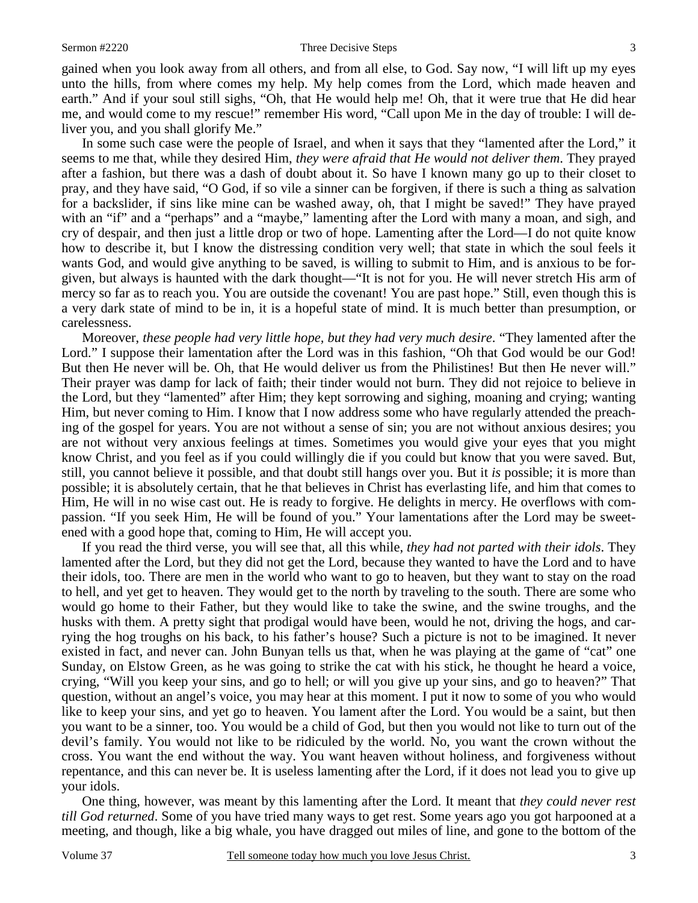#### Sermon #2220 Three Decisive Steps 3

gained when you look away from all others, and from all else, to God. Say now, "I will lift up my eyes unto the hills, from where comes my help. My help comes from the Lord, which made heaven and

earth." And if your soul still sighs, "Oh, that He would help me! Oh, that it were true that He did hear me, and would come to my rescue!" remember His word, "Call upon Me in the day of trouble: I will deliver you, and you shall glorify Me."

 In some such case were the people of Israel, and when it says that they "lamented after the Lord," it seems to me that, while they desired Him, *they were afraid that He would not deliver them*. They prayed after a fashion, but there was a dash of doubt about it. So have I known many go up to their closet to pray, and they have said, "O God, if so vile a sinner can be forgiven, if there is such a thing as salvation for a backslider, if sins like mine can be washed away, oh, that I might be saved!" They have prayed with an "if" and a "perhaps" and a "maybe," lamenting after the Lord with many a moan, and sigh, and cry of despair, and then just a little drop or two of hope. Lamenting after the Lord—I do not quite know how to describe it, but I know the distressing condition very well; that state in which the soul feels it wants God, and would give anything to be saved, is willing to submit to Him, and is anxious to be forgiven, but always is haunted with the dark thought—"It is not for you. He will never stretch His arm of mercy so far as to reach you. You are outside the covenant! You are past hope." Still, even though this is a very dark state of mind to be in, it is a hopeful state of mind. It is much better than presumption, or carelessness.

 Moreover, *these people had very little hope, but they had very much desire*. "They lamented after the Lord." I suppose their lamentation after the Lord was in this fashion, "Oh that God would be our God! But then He never will be. Oh, that He would deliver us from the Philistines! But then He never will." Their prayer was damp for lack of faith; their tinder would not burn. They did not rejoice to believe in the Lord, but they "lamented" after Him; they kept sorrowing and sighing, moaning and crying; wanting Him, but never coming to Him. I know that I now address some who have regularly attended the preaching of the gospel for years. You are not without a sense of sin; you are not without anxious desires; you are not without very anxious feelings at times. Sometimes you would give your eyes that you might know Christ, and you feel as if you could willingly die if you could but know that you were saved. But, still, you cannot believe it possible, and that doubt still hangs over you. But it *is* possible; it is more than possible; it is absolutely certain, that he that believes in Christ has everlasting life, and him that comes to Him, He will in no wise cast out. He is ready to forgive. He delights in mercy. He overflows with compassion. "If you seek Him, He will be found of you." Your lamentations after the Lord may be sweetened with a good hope that, coming to Him, He will accept you.

 If you read the third verse, you will see that, all this while, *they had not parted with their idols*. They lamented after the Lord, but they did not get the Lord, because they wanted to have the Lord and to have their idols, too. There are men in the world who want to go to heaven, but they want to stay on the road to hell, and yet get to heaven. They would get to the north by traveling to the south. There are some who would go home to their Father, but they would like to take the swine, and the swine troughs, and the husks with them. A pretty sight that prodigal would have been, would he not, driving the hogs, and carrying the hog troughs on his back, to his father's house? Such a picture is not to be imagined. It never existed in fact, and never can. John Bunyan tells us that, when he was playing at the game of "cat" one Sunday, on Elstow Green, as he was going to strike the cat with his stick, he thought he heard a voice, crying, "Will you keep your sins, and go to hell; or will you give up your sins, and go to heaven?" That question, without an angel's voice, you may hear at this moment. I put it now to some of you who would like to keep your sins, and yet go to heaven. You lament after the Lord. You would be a saint, but then you want to be a sinner, too. You would be a child of God, but then you would not like to turn out of the devil's family. You would not like to be ridiculed by the world. No, you want the crown without the cross. You want the end without the way. You want heaven without holiness, and forgiveness without repentance, and this can never be. It is useless lamenting after the Lord, if it does not lead you to give up your idols.

 One thing, however, was meant by this lamenting after the Lord. It meant that *they could never rest till God returned*. Some of you have tried many ways to get rest. Some years ago you got harpooned at a meeting, and though, like a big whale, you have dragged out miles of line, and gone to the bottom of the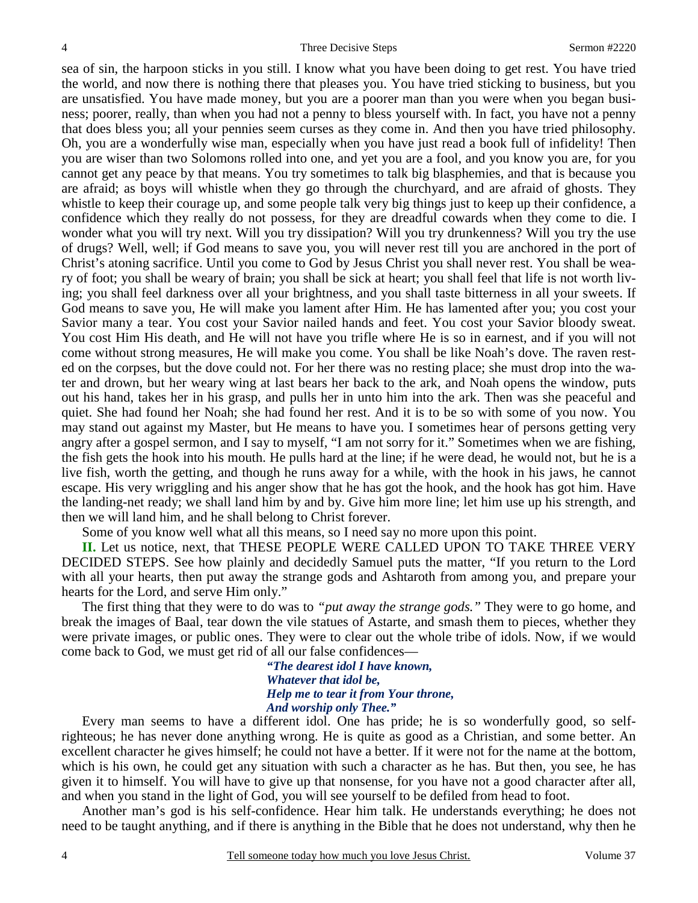sea of sin, the harpoon sticks in you still. I know what you have been doing to get rest. You have tried the world, and now there is nothing there that pleases you. You have tried sticking to business, but you are unsatisfied. You have made money, but you are a poorer man than you were when you began business; poorer, really, than when you had not a penny to bless yourself with. In fact, you have not a penny that does bless you; all your pennies seem curses as they come in. And then you have tried philosophy. Oh, you are a wonderfully wise man, especially when you have just read a book full of infidelity! Then you are wiser than two Solomons rolled into one, and yet you are a fool, and you know you are, for you cannot get any peace by that means. You try sometimes to talk big blasphemies, and that is because you are afraid; as boys will whistle when they go through the churchyard, and are afraid of ghosts. They whistle to keep their courage up, and some people talk very big things just to keep up their confidence, a confidence which they really do not possess, for they are dreadful cowards when they come to die. I wonder what you will try next. Will you try dissipation? Will you try drunkenness? Will you try the use of drugs? Well, well; if God means to save you, you will never rest till you are anchored in the port of Christ's atoning sacrifice. Until you come to God by Jesus Christ you shall never rest. You shall be weary of foot; you shall be weary of brain; you shall be sick at heart; you shall feel that life is not worth living; you shall feel darkness over all your brightness, and you shall taste bitterness in all your sweets. If God means to save you, He will make you lament after Him. He has lamented after you; you cost your Savior many a tear. You cost your Savior nailed hands and feet. You cost your Savior bloody sweat. You cost Him His death, and He will not have you trifle where He is so in earnest, and if you will not come without strong measures, He will make you come. You shall be like Noah's dove. The raven rested on the corpses, but the dove could not. For her there was no resting place; she must drop into the water and drown, but her weary wing at last bears her back to the ark, and Noah opens the window, puts out his hand, takes her in his grasp, and pulls her in unto him into the ark. Then was she peaceful and quiet. She had found her Noah; she had found her rest. And it is to be so with some of you now. You may stand out against my Master, but He means to have you. I sometimes hear of persons getting very angry after a gospel sermon, and I say to myself, "I am not sorry for it." Sometimes when we are fishing, the fish gets the hook into his mouth. He pulls hard at the line; if he were dead, he would not, but he is a live fish, worth the getting, and though he runs away for a while, with the hook in his jaws, he cannot escape. His very wriggling and his anger show that he has got the hook, and the hook has got him. Have the landing-net ready; we shall land him by and by. Give him more line; let him use up his strength, and then we will land him, and he shall belong to Christ forever.

Some of you know well what all this means, so I need say no more upon this point.

**II.** Let us notice, next, that THESE PEOPLE WERE CALLED UPON TO TAKE THREE VERY DECIDED STEPS. See how plainly and decidedly Samuel puts the matter, "If you return to the Lord with all your hearts, then put away the strange gods and Ashtaroth from among you, and prepare your hearts for the Lord, and serve Him only."

 The first thing that they were to do was to *"put away the strange gods."* They were to go home, and break the images of Baal, tear down the vile statues of Astarte, and smash them to pieces, whether they were private images, or public ones. They were to clear out the whole tribe of idols. Now, if we would come back to God, we must get rid of all our false confidences—

> *"The dearest idol I have known, Whatever that idol be, Help me to tear it from Your throne, And worship only Thee."*

Every man seems to have a different idol. One has pride; he is so wonderfully good, so selfrighteous; he has never done anything wrong. He is quite as good as a Christian, and some better. An excellent character he gives himself; he could not have a better. If it were not for the name at the bottom, which is his own, he could get any situation with such a character as he has. But then, you see, he has given it to himself. You will have to give up that nonsense, for you have not a good character after all, and when you stand in the light of God, you will see yourself to be defiled from head to foot.

 Another man's god is his self-confidence. Hear him talk. He understands everything; he does not need to be taught anything, and if there is anything in the Bible that he does not understand, why then he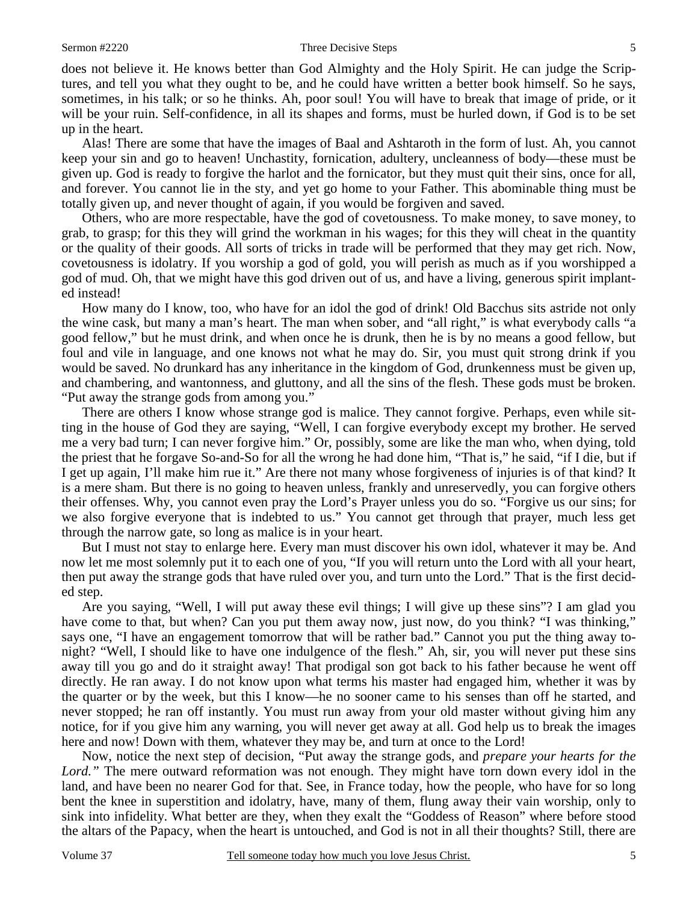does not believe it. He knows better than God Almighty and the Holy Spirit. He can judge the Scriptures, and tell you what they ought to be, and he could have written a better book himself. So he says, sometimes, in his talk; or so he thinks. Ah, poor soul! You will have to break that image of pride, or it will be your ruin. Self-confidence, in all its shapes and forms, must be hurled down, if God is to be set up in the heart.

 Alas! There are some that have the images of Baal and Ashtaroth in the form of lust. Ah, you cannot keep your sin and go to heaven! Unchastity, fornication, adultery, uncleanness of body—these must be given up. God is ready to forgive the harlot and the fornicator, but they must quit their sins, once for all, and forever. You cannot lie in the sty, and yet go home to your Father. This abominable thing must be totally given up, and never thought of again, if you would be forgiven and saved.

 Others, who are more respectable, have the god of covetousness. To make money, to save money, to grab, to grasp; for this they will grind the workman in his wages; for this they will cheat in the quantity or the quality of their goods. All sorts of tricks in trade will be performed that they may get rich. Now, covetousness is idolatry. If you worship a god of gold, you will perish as much as if you worshipped a god of mud. Oh, that we might have this god driven out of us, and have a living, generous spirit implanted instead!

 How many do I know, too, who have for an idol the god of drink! Old Bacchus sits astride not only the wine cask, but many a man's heart. The man when sober, and "all right," is what everybody calls "a good fellow," but he must drink, and when once he is drunk, then he is by no means a good fellow, but foul and vile in language, and one knows not what he may do. Sir, you must quit strong drink if you would be saved. No drunkard has any inheritance in the kingdom of God, drunkenness must be given up, and chambering, and wantonness, and gluttony, and all the sins of the flesh. These gods must be broken. "Put away the strange gods from among you."

 There are others I know whose strange god is malice. They cannot forgive. Perhaps, even while sitting in the house of God they are saying, "Well, I can forgive everybody except my brother. He served me a very bad turn; I can never forgive him." Or, possibly, some are like the man who, when dying, told the priest that he forgave So-and-So for all the wrong he had done him, "That is," he said, "if I die, but if I get up again, I'll make him rue it." Are there not many whose forgiveness of injuries is of that kind? It is a mere sham. But there is no going to heaven unless, frankly and unreservedly, you can forgive others their offenses. Why, you cannot even pray the Lord's Prayer unless you do so. "Forgive us our sins; for we also forgive everyone that is indebted to us." You cannot get through that prayer, much less get through the narrow gate, so long as malice is in your heart.

 But I must not stay to enlarge here. Every man must discover his own idol, whatever it may be. And now let me most solemnly put it to each one of you, "If you will return unto the Lord with all your heart, then put away the strange gods that have ruled over you, and turn unto the Lord." That is the first decided step.

 Are you saying, "Well, I will put away these evil things; I will give up these sins"? I am glad you have come to that, but when? Can you put them away now, just now, do you think? "I was thinking," says one, "I have an engagement tomorrow that will be rather bad." Cannot you put the thing away tonight? "Well, I should like to have one indulgence of the flesh." Ah, sir, you will never put these sins away till you go and do it straight away! That prodigal son got back to his father because he went off directly. He ran away. I do not know upon what terms his master had engaged him, whether it was by the quarter or by the week, but this I know—he no sooner came to his senses than off he started, and never stopped; he ran off instantly. You must run away from your old master without giving him any notice, for if you give him any warning, you will never get away at all. God help us to break the images here and now! Down with them, whatever they may be, and turn at once to the Lord!

 Now, notice the next step of decision, "Put away the strange gods, and *prepare your hearts for the Lord."* The mere outward reformation was not enough. They might have torn down every idol in the land, and have been no nearer God for that. See, in France today, how the people, who have for so long bent the knee in superstition and idolatry, have, many of them, flung away their vain worship, only to sink into infidelity. What better are they, when they exalt the "Goddess of Reason" where before stood the altars of the Papacy, when the heart is untouched, and God is not in all their thoughts? Still, there are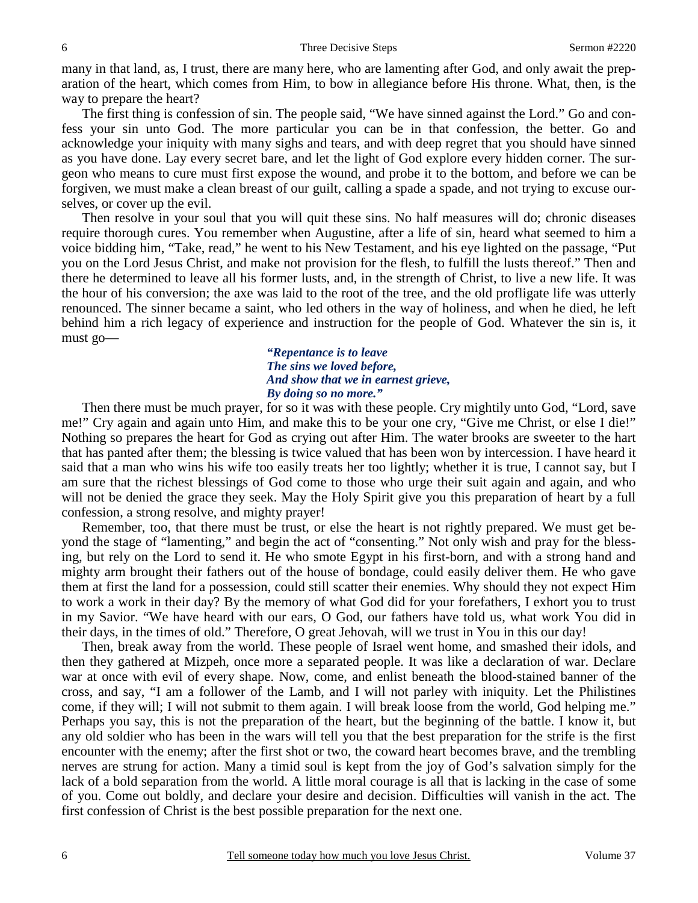many in that land, as, I trust, there are many here, who are lamenting after God, and only await the preparation of the heart, which comes from Him, to bow in allegiance before His throne. What, then, is the way to prepare the heart?

 The first thing is confession of sin. The people said, "We have sinned against the Lord." Go and confess your sin unto God. The more particular you can be in that confession, the better. Go and acknowledge your iniquity with many sighs and tears, and with deep regret that you should have sinned as you have done. Lay every secret bare, and let the light of God explore every hidden corner. The surgeon who means to cure must first expose the wound, and probe it to the bottom, and before we can be forgiven, we must make a clean breast of our guilt, calling a spade a spade, and not trying to excuse ourselves, or cover up the evil.

 Then resolve in your soul that you will quit these sins. No half measures will do; chronic diseases require thorough cures. You remember when Augustine, after a life of sin, heard what seemed to him a voice bidding him, "Take, read," he went to his New Testament, and his eye lighted on the passage, "Put you on the Lord Jesus Christ, and make not provision for the flesh, to fulfill the lusts thereof." Then and there he determined to leave all his former lusts, and, in the strength of Christ, to live a new life. It was the hour of his conversion; the axe was laid to the root of the tree, and the old profligate life was utterly renounced. The sinner became a saint, who led others in the way of holiness, and when he died, he left behind him a rich legacy of experience and instruction for the people of God. Whatever the sin is, it must go—

### *"Repentance is to leave The sins we loved before, And show that we in earnest grieve, By doing so no more."*

Then there must be much prayer, for so it was with these people. Cry mightily unto God, "Lord, save me!" Cry again and again unto Him, and make this to be your one cry, "Give me Christ, or else I die!" Nothing so prepares the heart for God as crying out after Him. The water brooks are sweeter to the hart that has panted after them; the blessing is twice valued that has been won by intercession. I have heard it said that a man who wins his wife too easily treats her too lightly; whether it is true, I cannot say, but I am sure that the richest blessings of God come to those who urge their suit again and again, and who will not be denied the grace they seek. May the Holy Spirit give you this preparation of heart by a full confession, a strong resolve, and mighty prayer!

 Remember, too, that there must be trust, or else the heart is not rightly prepared. We must get beyond the stage of "lamenting," and begin the act of "consenting." Not only wish and pray for the blessing, but rely on the Lord to send it. He who smote Egypt in his first-born, and with a strong hand and mighty arm brought their fathers out of the house of bondage, could easily deliver them. He who gave them at first the land for a possession, could still scatter their enemies. Why should they not expect Him to work a work in their day? By the memory of what God did for your forefathers, I exhort you to trust in my Savior. "We have heard with our ears, O God, our fathers have told us, what work You did in their days, in the times of old." Therefore, O great Jehovah, will we trust in You in this our day!

 Then, break away from the world. These people of Israel went home, and smashed their idols, and then they gathered at Mizpeh, once more a separated people. It was like a declaration of war. Declare war at once with evil of every shape. Now, come, and enlist beneath the blood-stained banner of the cross, and say, "I am a follower of the Lamb, and I will not parley with iniquity. Let the Philistines come, if they will; I will not submit to them again. I will break loose from the world, God helping me." Perhaps you say, this is not the preparation of the heart, but the beginning of the battle. I know it, but any old soldier who has been in the wars will tell you that the best preparation for the strife is the first encounter with the enemy; after the first shot or two, the coward heart becomes brave, and the trembling nerves are strung for action. Many a timid soul is kept from the joy of God's salvation simply for the lack of a bold separation from the world. A little moral courage is all that is lacking in the case of some of you. Come out boldly, and declare your desire and decision. Difficulties will vanish in the act. The first confession of Christ is the best possible preparation for the next one.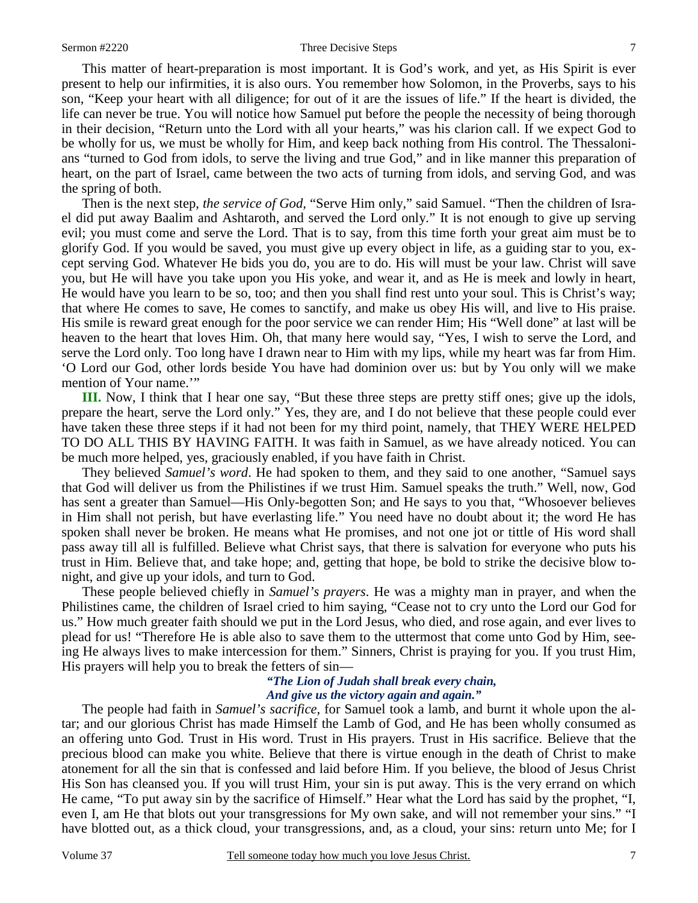#### Sermon #2220 Three Decisive Steps 7

 This matter of heart-preparation is most important. It is God's work, and yet, as His Spirit is ever present to help our infirmities, it is also ours. You remember how Solomon, in the Proverbs, says to his son, "Keep your heart with all diligence; for out of it are the issues of life." If the heart is divided, the life can never be true. You will notice how Samuel put before the people the necessity of being thorough in their decision, "Return unto the Lord with all your hearts," was his clarion call. If we expect God to be wholly for us, we must be wholly for Him, and keep back nothing from His control. The Thessalonians "turned to God from idols, to serve the living and true God," and in like manner this preparation of heart, on the part of Israel, came between the two acts of turning from idols, and serving God, and was the spring of both.

 Then is the next step, *the service of God,* "Serve Him only," said Samuel. "Then the children of Israel did put away Baalim and Ashtaroth, and served the Lord only." It is not enough to give up serving evil; you must come and serve the Lord. That is to say, from this time forth your great aim must be to glorify God. If you would be saved, you must give up every object in life, as a guiding star to you, except serving God. Whatever He bids you do, you are to do. His will must be your law. Christ will save you, but He will have you take upon you His yoke, and wear it, and as He is meek and lowly in heart, He would have you learn to be so, too; and then you shall find rest unto your soul. This is Christ's way; that where He comes to save, He comes to sanctify, and make us obey His will, and live to His praise. His smile is reward great enough for the poor service we can render Him; His "Well done" at last will be heaven to the heart that loves Him. Oh, that many here would say, "Yes, I wish to serve the Lord, and serve the Lord only. Too long have I drawn near to Him with my lips, while my heart was far from Him. 'O Lord our God, other lords beside You have had dominion over us: but by You only will we make mention of Your name.'"

**III.** Now, I think that I hear one say, "But these three steps are pretty stiff ones; give up the idols, prepare the heart, serve the Lord only." Yes, they are, and I do not believe that these people could ever have taken these three steps if it had not been for my third point, namely, that THEY WERE HELPED TO DO ALL THIS BY HAVING FAITH. It was faith in Samuel, as we have already noticed. You can be much more helped, yes, graciously enabled, if you have faith in Christ.

 They believed *Samuel's word*. He had spoken to them, and they said to one another, "Samuel says that God will deliver us from the Philistines if we trust Him. Samuel speaks the truth." Well, now, God has sent a greater than Samuel—His Only-begotten Son; and He says to you that, "Whosoever believes in Him shall not perish, but have everlasting life." You need have no doubt about it; the word He has spoken shall never be broken. He means what He promises, and not one jot or tittle of His word shall pass away till all is fulfilled. Believe what Christ says, that there is salvation for everyone who puts his trust in Him. Believe that, and take hope; and, getting that hope, be bold to strike the decisive blow tonight, and give up your idols, and turn to God.

 These people believed chiefly in *Samuel's prayers*. He was a mighty man in prayer, and when the Philistines came, the children of Israel cried to him saying, "Cease not to cry unto the Lord our God for us." How much greater faith should we put in the Lord Jesus, who died, and rose again, and ever lives to plead for us! "Therefore He is able also to save them to the uttermost that come unto God by Him, seeing He always lives to make intercession for them." Sinners, Christ is praying for you. If you trust Him, His prayers will help you to break the fetters of sin—

### *"The Lion of Judah shall break every chain, And give us the victory again and again."*

The people had faith in *Samuel's sacrifice,* for Samuel took a lamb, and burnt it whole upon the altar; and our glorious Christ has made Himself the Lamb of God, and He has been wholly consumed as an offering unto God. Trust in His word. Trust in His prayers. Trust in His sacrifice. Believe that the precious blood can make you white. Believe that there is virtue enough in the death of Christ to make atonement for all the sin that is confessed and laid before Him. If you believe, the blood of Jesus Christ His Son has cleansed you. If you will trust Him, your sin is put away. This is the very errand on which He came, "To put away sin by the sacrifice of Himself." Hear what the Lord has said by the prophet, "I, even I, am He that blots out your transgressions for My own sake, and will not remember your sins." "I have blotted out, as a thick cloud, your transgressions, and, as a cloud, your sins: return unto Me; for I